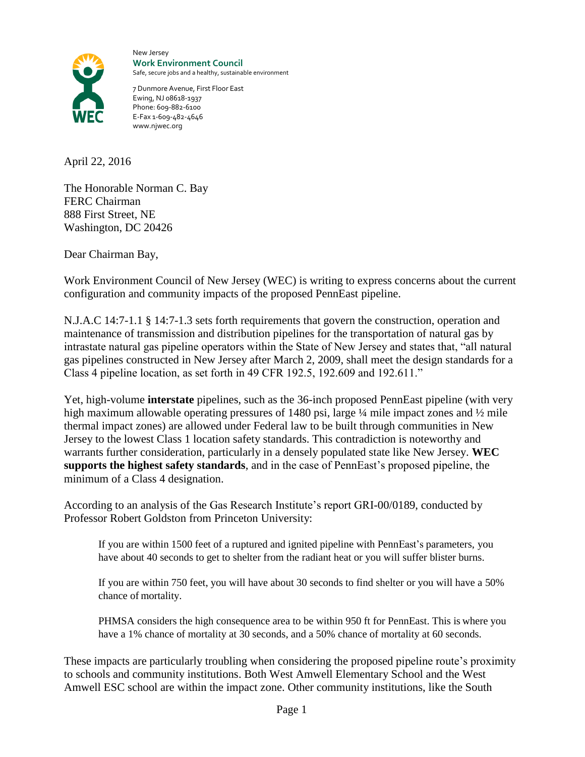

New Jersey **Work Environment Council** Safe, secure jobs and a healthy, sustainable environment

7 Dunmore Avenue, First Floor East Ewing, NJ 08618-1937 Phone: 609-882-6100 E-Fax 1-609-482-4646 www.njwec.org

April 22, 2016

The Honorable Norman C. Bay FERC Chairman 888 First Street, NE Washington, DC 20426

Dear Chairman Bay,

Work Environment Council of New Jersey (WEC) is writing to express concerns about the current configuration and community impacts of the proposed PennEast pipeline.

N.J.A.C 14:7-1.1 § 14:7-1.3 sets forth requirements that govern the construction, operation and maintenance of transmission and distribution pipelines for the transportation of natural gas by intrastate natural gas pipeline operators within the State of New Jersey and states that, "all natural gas pipelines constructed in New Jersey after March 2, 2009, shall meet the design standards for a Class 4 pipeline location, as set forth in 49 CFR 192.5, 192.609 and 192.611."

Yet, high-volume **interstate** pipelines, such as the 36-inch proposed PennEast pipeline (with very high maximum allowable operating pressures of 1480 psi, large ¼ mile impact zones and ¼ mile thermal impact zones) are allowed under Federal law to be built through communities in New Jersey to the lowest Class 1 location safety standards. This contradiction is noteworthy and warrants further consideration, particularly in a densely populated state like New Jersey. **WEC supports the highest safety standards**, and in the case of PennEast's proposed pipeline, the minimum of a Class 4 designation.

According to an analysis of the Gas Research Institute's report GRI-00/0189, conducted by Professor Robert Goldston from Princeton University:

If you are within 1500 feet of a ruptured and ignited pipeline with PennEast's parameters, you have about 40 seconds to get to shelter from the radiant heat or you will suffer blister burns.

If you are within 750 feet, you will have about 30 seconds to find shelter or you will have a 50% chance of mortality.

PHMSA considers the high consequence area to be within 950 ft for PennEast. This is where you have a 1% chance of mortality at 30 seconds, and a 50% chance of mortality at 60 seconds.

These impacts are particularly troubling when considering the proposed pipeline route's proximity to schools and community institutions. Both West Amwell Elementary School and the West Amwell ESC school are within the impact zone. Other community institutions, like the South